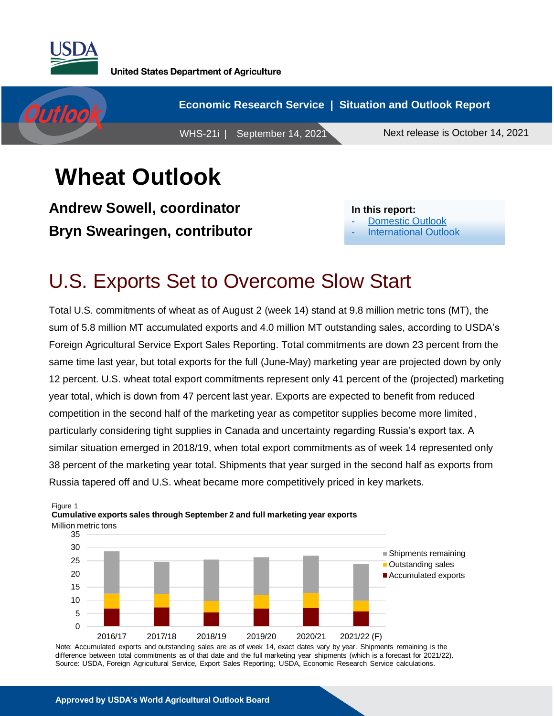

Figure 1



# **Wheat Outlook**

**Andrew Sowell, coordinator Bryn Swearingen, contributor**

**In this report:** [Domestic Outlook](#page-1-0)

[International Outlook](#page-4-0)

## U.S. Exports Set to Overcome Slow Start

Total U.S. commitments of wheat as of August 2 (week 14) stand at 9.8 million metric tons (MT), the sum of 5.8 million MT accumulated exports and 4.0 million MT outstanding sales, according to USDA's Foreign Agricultural Service Export Sales Reporting. Total commitments are down 23 percent from the same time last year, but total exports for the full (June-May) marketing year are projected down by only 12 percent. U.S. wheat total export commitments represent only 41 percent of the (projected) marketing year total, which is down from 47 percent last year. Exports are expected to benefit from reduced competition in the second half of the marketing year as competitor supplies become more limited, particularly considering tight supplies in Canada and uncertainty regarding Russia's export tax. A similar situation emerged in 2018/19, when total export commitments as of week 14 represented only 38 percent of the marketing year total. Shipments that year surged in the second half as exports from Russia tapered off and U.S. wheat became more competitively priced in key markets.



Note: Accumulated exports and outstanding sales are as of week 14, exact dates vary by year. Shipments remaining is the difference between total commitments as of that date and the full marketing year shipments (which is a forecast for 2021/22). Source: USDA, Foreign Agricultural Service, Export Sales Reporting; USDA, Economic Research Service calculations.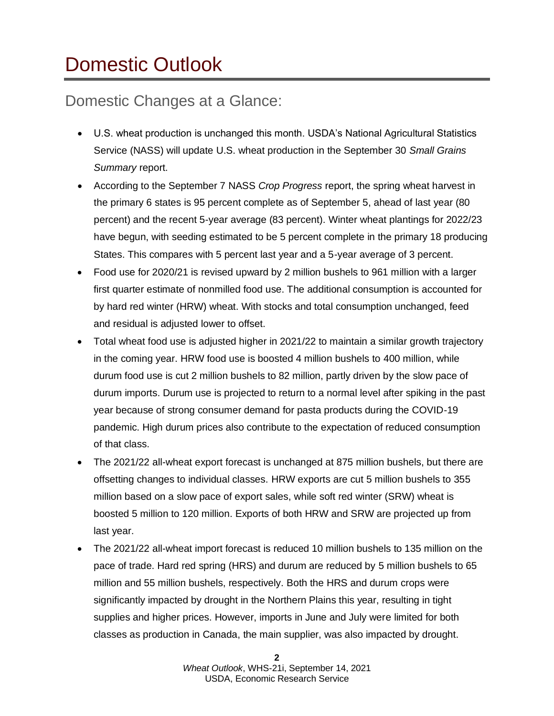# <span id="page-1-0"></span>Domestic Outlook

### Domestic Changes at a Glance:

- U.S. wheat production is unchanged this month. USDA's National Agricultural Statistics Service (NASS) will update U.S. wheat production in the September 30 *Small Grains Summary* report.
- According to the September 7 NASS *Crop Progress* report, the spring wheat harvest in the primary 6 states is 95 percent complete as of September 5, ahead of last year (80 percent) and the recent 5-year average (83 percent). Winter wheat plantings for 2022/23 have begun, with seeding estimated to be 5 percent complete in the primary 18 producing States. This compares with 5 percent last year and a 5-year average of 3 percent.
- Food use for 2020/21 is revised upward by 2 million bushels to 961 million with a larger first quarter estimate of nonmilled food use. The additional consumption is accounted for by hard red winter (HRW) wheat. With stocks and total consumption unchanged, feed and residual is adjusted lower to offset.
- Total wheat food use is adjusted higher in 2021/22 to maintain a similar growth trajectory in the coming year. HRW food use is boosted 4 million bushels to 400 million, while durum food use is cut 2 million bushels to 82 million, partly driven by the slow pace of durum imports. Durum use is projected to return to a normal level after spiking in the past year because of strong consumer demand for pasta products during the COVID-19 pandemic. High durum prices also contribute to the expectation of reduced consumption of that class.
- The 2021/22 all-wheat export forecast is unchanged at 875 million bushels, but there are offsetting changes to individual classes. HRW exports are cut 5 million bushels to 355 million based on a slow pace of export sales, while soft red winter (SRW) wheat is boosted 5 million to 120 million. Exports of both HRW and SRW are projected up from last year.
- The 2021/22 all-wheat import forecast is reduced 10 million bushels to 135 million on the pace of trade. Hard red spring (HRS) and durum are reduced by 5 million bushels to 65 million and 55 million bushels, respectively. Both the HRS and durum crops were significantly impacted by drought in the Northern Plains this year, resulting in tight supplies and higher prices. However, imports in June and July were limited for both classes as production in Canada, the main supplier, was also impacted by drought.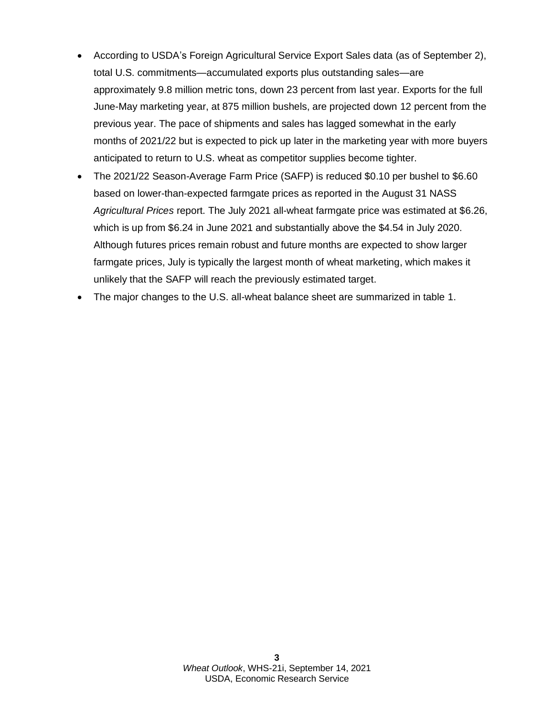- According to USDA's Foreign Agricultural Service Export Sales data (as of September 2), total U.S. commitments—accumulated exports plus outstanding sales—are approximately 9.8 million metric tons, down 23 percent from last year. Exports for the full June-May marketing year, at 875 million bushels, are projected down 12 percent from the previous year. The pace of shipments and sales has lagged somewhat in the early months of 2021/22 but is expected to pick up later in the marketing year with more buyers anticipated to return to U.S. wheat as competitor supplies become tighter.
- The 2021/22 Season-Average Farm Price (SAFP) is reduced \$0.10 per bushel to \$6.60 based on lower-than-expected farmgate prices as reported in the August 31 NASS *Agricultural Prices* report. The July 2021 all-wheat farmgate price was estimated at \$6.26, which is up from \$6.24 in June 2021 and substantially above the \$4.54 in July 2020. Although futures prices remain robust and future months are expected to show larger farmgate prices, July is typically the largest month of wheat marketing, which makes it unlikely that the SAFP will reach the previously estimated target.
- The major changes to the U.S. all-wheat balance sheet are summarized in table 1.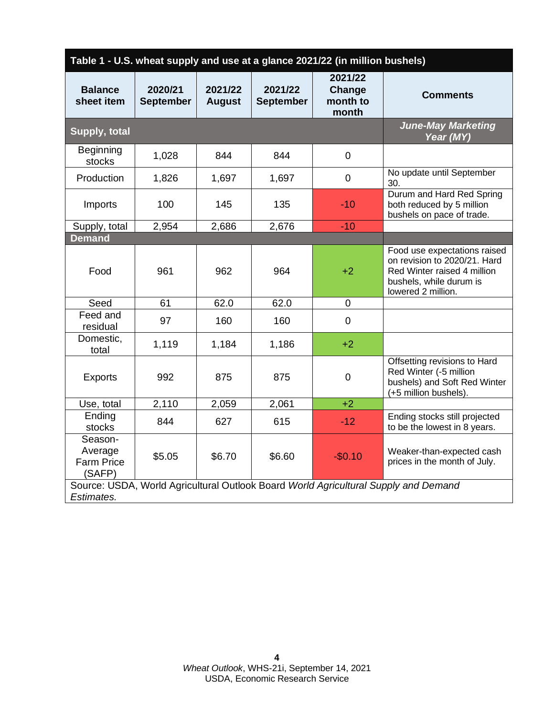| Table 1 - U.S. wheat supply and use at a glance 2021/22 (in million bushels)                      |                             |                          |                             |                                        |                                                                                                                                              |  |
|---------------------------------------------------------------------------------------------------|-----------------------------|--------------------------|-----------------------------|----------------------------------------|----------------------------------------------------------------------------------------------------------------------------------------------|--|
| <b>Balance</b><br>sheet item                                                                      | 2020/21<br><b>September</b> | 2021/22<br><b>August</b> | 2021/22<br><b>September</b> | 2021/22<br>Change<br>month to<br>month | <b>Comments</b>                                                                                                                              |  |
| Supply, total                                                                                     |                             |                          |                             |                                        | <b>June-May Marketing</b><br>Year (MY)                                                                                                       |  |
| <b>Beginning</b><br>stocks                                                                        | 1,028                       | 844                      | 844                         | $\mathbf 0$                            |                                                                                                                                              |  |
| Production                                                                                        | 1,826                       | 1,697                    | 1,697                       | $\overline{0}$                         | No update until September<br>30.                                                                                                             |  |
| Imports                                                                                           | 100                         | 145                      | 135                         | $-10$                                  | Durum and Hard Red Spring<br>both reduced by 5 million<br>bushels on pace of trade.                                                          |  |
| Supply, total                                                                                     | 2,954                       | 2,686                    | 2,676                       | $-10$                                  |                                                                                                                                              |  |
| <b>Demand</b>                                                                                     |                             |                          |                             |                                        |                                                                                                                                              |  |
| Food                                                                                              | 961                         | 962                      | 964                         | $+2$                                   | Food use expectations raised<br>on revision to 2020/21. Hard<br>Red Winter raised 4 million<br>bushels, while durum is<br>lowered 2 million. |  |
| Seed                                                                                              | 61                          | 62.0                     | 62.0                        | 0                                      |                                                                                                                                              |  |
| Feed and<br>residual                                                                              | 97                          | 160                      | 160                         | $\mathbf 0$                            |                                                                                                                                              |  |
| Domestic,<br>total                                                                                | 1,119                       | 1,184                    | 1,186                       | $+2$                                   |                                                                                                                                              |  |
| <b>Exports</b>                                                                                    | 992                         | 875                      | 875                         | $\mathbf 0$                            | Offsetting revisions to Hard<br>Red Winter (-5 million<br>bushels) and Soft Red Winter<br>(+5 million bushels).                              |  |
| Use, total                                                                                        | 2,110                       | 2,059                    | 2,061                       | $+2$                                   |                                                                                                                                              |  |
| Ending<br>stocks                                                                                  | 844                         | 627                      | 615                         | $-12$                                  | Ending stocks still projected<br>to be the lowest in 8 years.                                                                                |  |
| Season-<br>Average<br><b>Farm Price</b><br>(SAFP)                                                 | \$5.05                      | \$6.70                   | \$6.60                      | $-$0.10$                               | Weaker-than-expected cash<br>prices in the month of July.                                                                                    |  |
| Source: USDA, World Agricultural Outlook Board World Agricultural Supply and Demand<br>Estimates. |                             |                          |                             |                                        |                                                                                                                                              |  |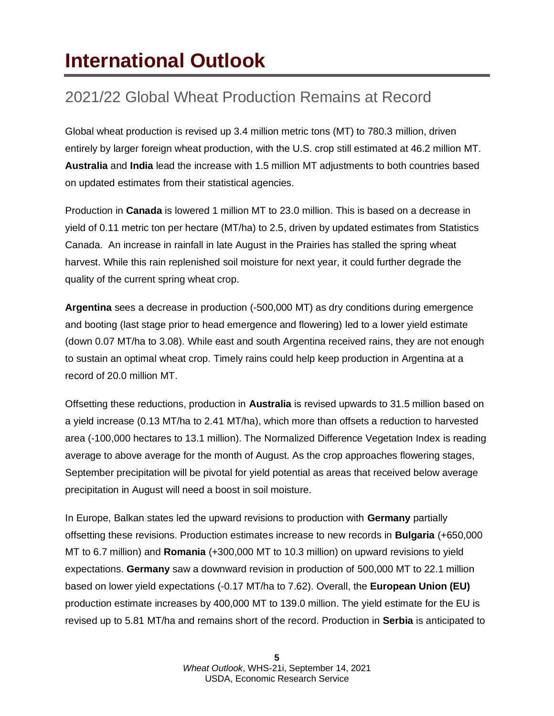# <span id="page-4-0"></span>**International Outlook**

## 2021/22 Global Wheat Production Remains at Record

Global wheat production is revised up 3.4 million metric tons (MT) to 780.3 million, driven entirely by larger foreign wheat production, with the U.S. crop still estimated at 46.2 million MT. **Australia** and **India** lead the increase with 1.5 million MT adjustments to both countries based on updated estimates from their statistical agencies.

Production in **Canada** is lowered 1 million MT to 23.0 million. This is based on a decrease in yield of 0.11 metric ton per hectare (MT/ha) to 2.5, driven by updated estimates from Statistics Canada. An increase in rainfall in late August in the Prairies has stalled the spring wheat harvest. While this rain replenished soil moisture for next year, it could further degrade the quality of the current spring wheat crop.

**Argentina** sees a decrease in production (-500,000 MT) as dry conditions during emergence and booting (last stage prior to head emergence and flowering) led to a lower yield estimate (down 0.07 MT/ha to 3.08). While east and south Argentina received rains, they are not enough to sustain an optimal wheat crop. Timely rains could help keep production in Argentina at a record of 20.0 million MT.

Offsetting these reductions, production in **Australia** is revised upwards to 31.5 million based on a yield increase (0.13 MT/ha to 2.41 MT/ha), which more than offsets a reduction to harvested area (-100,000 hectares to 13.1 million). The Normalized Difference Vegetation Index is reading average to above average for the month of August. As the crop approaches flowering stages, September precipitation will be pivotal for yield potential as areas that received below average precipitation in August will need a boost in soil moisture.

In Europe, Balkan states led the upward revisions to production with **Germany** partially offsetting these revisions. Production estimates increase to new records in **Bulgaria** (+650,000 MT to 6.7 million) and **Romania** (+300,000 MT to 10.3 million) on upward revisions to yield expectations. **Germany** saw a downward revision in production of 500,000 MT to 22.1 million based on lower yield expectations (-0.17 MT/ha to 7.62). Overall, the **European Union (EU)** production estimate increases by 400,000 MT to 139.0 million. The yield estimate for the EU is revised up to 5.81 MT/ha and remains short of the record. Production in **Serbia** is anticipated to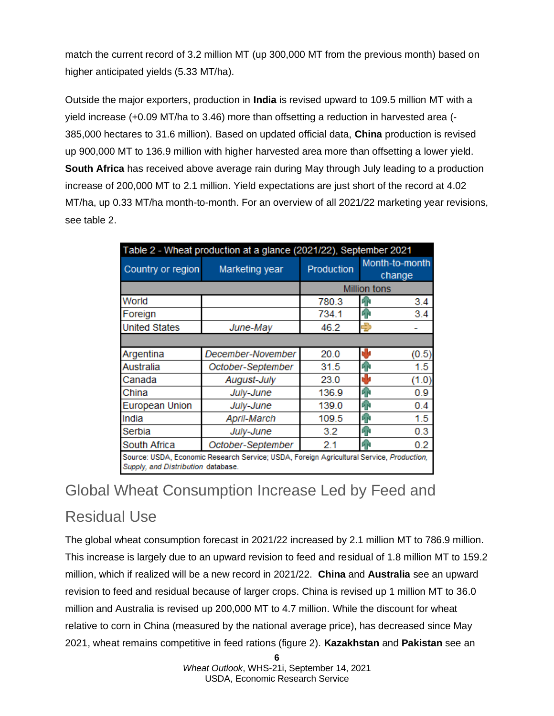match the current record of 3.2 million MT (up 300,000 MT from the previous month) based on higher anticipated yields (5.33 MT/ha).

Outside the major exporters, production in **India** is revised upward to 109.5 million MT with a yield increase (+0.09 MT/ha to 3.46) more than offsetting a reduction in harvested area (- 385,000 hectares to 31.6 million). Based on updated official data, **China** production is revised up 900,000 MT to 136.9 million with higher harvested area more than offsetting a lower yield. **South Africa** has received above average rain during May through July leading to a production increase of 200,000 MT to 2.1 million. Yield expectations are just short of the record at 4.02 MT/ha, up 0.33 MT/ha month-to-month. For an overview of all 2021/22 marketing year revisions, see table 2.

| Table 2 - Wheat production at a glance (2021/22), September 2021                                                               |                       |                     |                          |  |  |  |  |
|--------------------------------------------------------------------------------------------------------------------------------|-----------------------|---------------------|--------------------------|--|--|--|--|
| Country or region                                                                                                              | <b>Marketing year</b> | Production          | Month-to-month<br>change |  |  |  |  |
|                                                                                                                                |                       | <b>Million tons</b> |                          |  |  |  |  |
| World                                                                                                                          |                       | 780.3               | 3.4<br>9P                |  |  |  |  |
| Foreign                                                                                                                        |                       | 734.1               | 3.4<br>9P                |  |  |  |  |
| <b>United States</b>                                                                                                           | June-May              |                     | Ð                        |  |  |  |  |
|                                                                                                                                |                       |                     |                          |  |  |  |  |
| Argentina                                                                                                                      | December-November     | 20.0                | dы<br>(0.5)              |  |  |  |  |
| Australia                                                                                                                      | October-September     | 31.5                | 1.5<br>ЙÑ                |  |  |  |  |
| Canada                                                                                                                         | August-July           | 23.0                | r la<br>(1.0)            |  |  |  |  |
| China                                                                                                                          | July-June             | 136.9               | 0.9<br>ЙΝ                |  |  |  |  |
| <b>European Union</b>                                                                                                          | July-June             | 139.0               | 0.4<br>9P                |  |  |  |  |
| India                                                                                                                          | April-March           | 109.5               | 1.5<br>ЙN                |  |  |  |  |
| Serbia                                                                                                                         | July-June             | 3.2                 | 0.3<br>qр                |  |  |  |  |
| South Africa<br>October-September                                                                                              |                       | 2.1                 | 0.2<br>砰                 |  |  |  |  |
| Source: USDA, Economic Research Service; USDA, Foreign Agricultural Service, Production,<br>Supply, and Distribution database. |                       |                     |                          |  |  |  |  |

## Global Wheat Consumption Increase Led by Feed and Residual Use

The global wheat consumption forecast in 2021/22 increased by 2.1 million MT to 786.9 million. This increase is largely due to an upward revision to feed and residual of 1.8 million MT to 159.2 million, which if realized will be a new record in 2021/22. **China** and **Australia** see an upward revision to feed and residual because of larger crops. China is revised up 1 million MT to 36.0 million and Australia is revised up 200,000 MT to 4.7 million. While the discount for wheat relative to corn in China (measured by the national average price), has decreased since May 2021, wheat remains competitive in feed rations (figure 2). **Kazakhstan** and **Pakistan** see an

> **6** *Wheat Outlook*, WHS-21i, September 14, 2021 USDA, Economic Research Service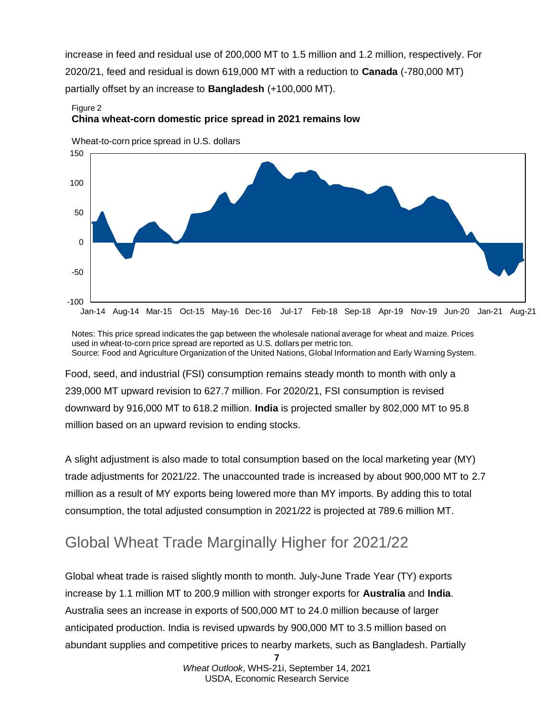increase in feed and residual use of 200,000 MT to 1.5 million and 1.2 million, respectively. For 2020/21, feed and residual is down 619,000 MT with a reduction to **Canada** (-780,000 MT) partially offset by an increase to **Bangladesh** (+100,000 MT).

#### Figure 2 **China wheat-corn domestic price spread in 2021 remains low**



Wheat-to-corn price spread in U.S. dollars

Notes: This price spread indicates the gap between the wholesale national average for wheat and maize. Prices used in wheat-to-corn price spread are reported as U.S. dollars per metric ton. Source: Food and Agriculture Organization of the United Nations, Global Information and Early Warning System.

Food, seed, and industrial (FSI) consumption remains steady month to month with only a 239,000 MT upward revision to 627.7 million. For 2020/21, FSI consumption is revised downward by 916,000 MT to 618.2 million. **India** is projected smaller by 802,000 MT to 95.8 million based on an upward revision to ending stocks.

A slight adjustment is also made to total consumption based on the local marketing year (MY) trade adjustments for 2021/22. The unaccounted trade is increased by about 900,000 MT to 2.7 million as a result of MY exports being lowered more than MY imports. By adding this to total consumption, the total adjusted consumption in 2021/22 is projected at 789.6 million MT.

## Global Wheat Trade Marginally Higher for 2021/22

Global wheat trade is raised slightly month to month. July-June Trade Year (TY) exports increase by 1.1 million MT to 200.9 million with stronger exports for **Australia** and **India**. Australia sees an increase in exports of 500,000 MT to 24.0 million because of larger anticipated production. India is revised upwards by 900,000 MT to 3.5 million based on abundant supplies and competitive prices to nearby markets, such as Bangladesh. Partially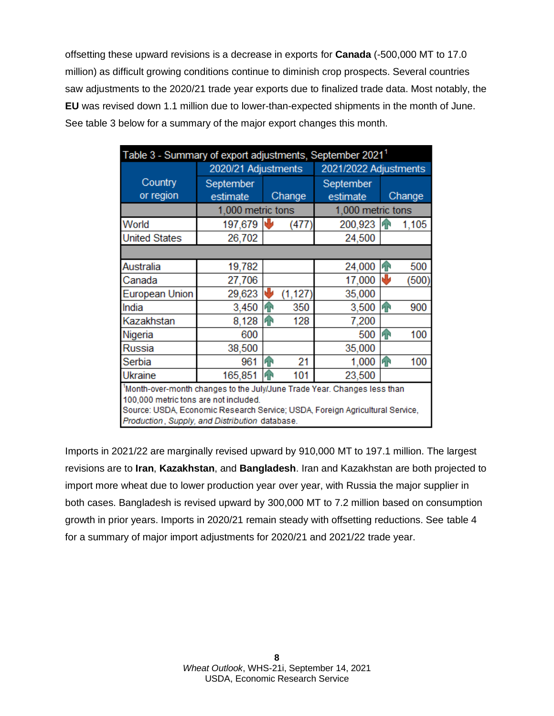offsetting these upward revisions is a decrease in exports for **Canada** (-500,000 MT to 17.0 million) as difficult growing conditions continue to diminish crop prospects. Several countries saw adjustments to the 2020/21 trade year exports due to finalized trade data. Most notably, the **EU** was revised down 1.1 million due to lower-than-expected shipments in the month of June. See table 3 below for a summary of the major export changes this month.

| 2020/21 Adjustments                                                      |           |          |                                                                                               |  |                                                                                                          |  |  |
|--------------------------------------------------------------------------|-----------|----------|-----------------------------------------------------------------------------------------------|--|----------------------------------------------------------------------------------------------------------|--|--|
|                                                                          |           |          | Table 3 - Summary of export adjustments, September 2021 <sup>1</sup><br>2021/2022 Adjustments |  |                                                                                                          |  |  |
|                                                                          |           |          | September                                                                                     |  |                                                                                                          |  |  |
| estimate                                                                 |           |          | estimate                                                                                      |  | Change                                                                                                   |  |  |
|                                                                          |           |          | 1,000 metric tons                                                                             |  |                                                                                                          |  |  |
| 197,679                                                                  |           | (477     | 200,923                                                                                       |  | 1,105                                                                                                    |  |  |
| 26,702                                                                   |           |          | 24,500                                                                                        |  |                                                                                                          |  |  |
|                                                                          |           |          |                                                                                               |  |                                                                                                          |  |  |
| 19,782                                                                   |           |          | 24,000                                                                                        |  | 500                                                                                                      |  |  |
| 27,706                                                                   |           |          | 17,000                                                                                        |  | (500)                                                                                                    |  |  |
| 29,623                                                                   | J         | (1, 127) | 35,000                                                                                        |  |                                                                                                          |  |  |
| 3,450                                                                    | h P       | 350      | 3,500                                                                                         |  | 900                                                                                                      |  |  |
| 8,128                                                                    | 仆         | 128      | 7,200                                                                                         |  |                                                                                                          |  |  |
| 600                                                                      |           |          | 500                                                                                           |  | 100                                                                                                      |  |  |
| 38,500                                                                   |           |          | 35,000                                                                                        |  |                                                                                                          |  |  |
| 961                                                                      | ብ         | 21       | 1,000                                                                                         |  | 100                                                                                                      |  |  |
| 165,851                                                                  |           | 101      | 23,500                                                                                        |  |                                                                                                          |  |  |
| 1Month-over-month changes to the July/June Trade Year. Changes less than |           |          |                                                                                               |  |                                                                                                          |  |  |
| 100,000 metric tons are not included.                                    |           |          |                                                                                               |  |                                                                                                          |  |  |
| Production, Supply, and Distribution database.                           |           |          |                                                                                               |  |                                                                                                          |  |  |
|                                                                          | September | ИP       | Change<br>1,000 metric tons                                                                   |  | ИP<br>h<br>h<br>hР<br>ИP<br>Source: USDA, Economic Research Service; USDA, Foreign Agricultural Service, |  |  |

Imports in 2021/22 are marginally revised upward by 910,000 MT to 197.1 million. The largest revisions are to **Iran**, **Kazakhstan**, and **Bangladesh**. Iran and Kazakhstan are both projected to import more wheat due to lower production year over year, with Russia the major supplier in both cases. Bangladesh is revised upward by 300,000 MT to 7.2 million based on consumption growth in prior years. Imports in 2020/21 remain steady with offsetting reductions. See table 4 for a summary of major import adjustments for 2020/21 and 2021/22 trade year.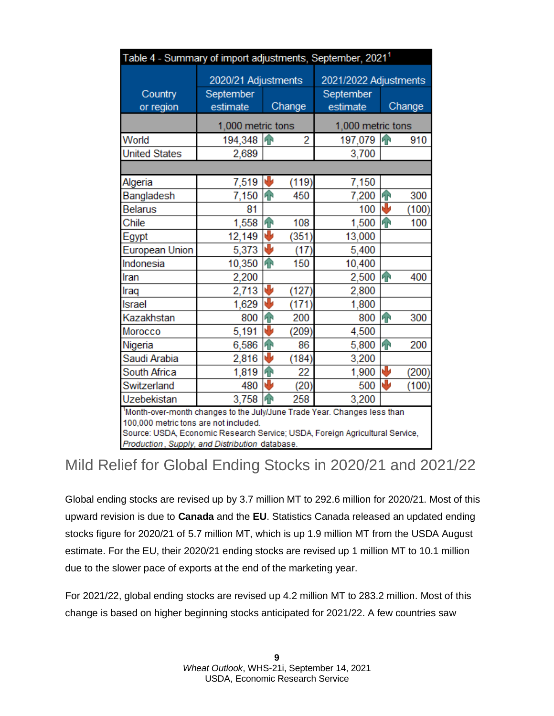| Table 4 - Summary of import adjustments, September, 2021 <sup>1</sup>                                                 |                     |                    |        |                       |               |        |  |
|-----------------------------------------------------------------------------------------------------------------------|---------------------|--------------------|--------|-----------------------|---------------|--------|--|
|                                                                                                                       | 2020/21 Adjustments |                    |        | 2021/2022 Adjustments |               |        |  |
| Country                                                                                                               | September           |                    |        | September             |               |        |  |
| or region                                                                                                             | estimate            |                    | Change | estimate              |               | Change |  |
|                                                                                                                       | 1,000 metric tons   |                    |        | 1,000 metric tons     |               |        |  |
| World                                                                                                                 | 194,348             | $\mathbf{P}$       | 2      | 197,079 个             |               | 910    |  |
| <b>United States</b>                                                                                                  | 2,689               |                    |        | 3,700                 |               |        |  |
|                                                                                                                       |                     |                    |        |                       |               |        |  |
| Algeria                                                                                                               | 7,519               | ₩                  | (119)  | 7,150                 |               |        |  |
| Bangladesh                                                                                                            | 7,150               | 4P                 | 450    | 7,200                 | $\mathbf{P}$  | 300    |  |
| <b>Belarus</b>                                                                                                        | 81                  |                    |        | 100                   | J             | (100)  |  |
| Chile                                                                                                                 | 1,558               | $\mathbf{P}$       | 108    | 1,500                 | $\widehat{A}$ | 100    |  |
| Egypt                                                                                                                 | 12,149              | ₩                  | (351)  | 13,000                |               |        |  |
| <b>European Union</b>                                                                                                 | 5,373               | ⊌                  | (17)   | 5,400                 |               |        |  |
| Indonesia                                                                                                             | 10,350              | $\mathbf{P}$       | 150    | 10,400                |               |        |  |
| Iran                                                                                                                  | 2,200               |                    |        | 2,500                 | $\mathbf{P}$  | 400    |  |
| Iraq                                                                                                                  | 2,713               | J                  | (127)  | 2,800                 |               |        |  |
| Israel                                                                                                                | 1,629               | ⊌                  | (171)  | 1,800                 |               |        |  |
| Kazakhstan                                                                                                            | 800                 | $\mathbf{\hat{r}}$ | 200    | 800                   | $\widehat{A}$ | 300    |  |
| Morocco                                                                                                               | 5,191               | ₩                  | (209)  | 4,500                 |               |        |  |
| Nigeria                                                                                                               | 6,586               | $\mathbf{\hat{P}}$ | 86     | 5,800                 | 个             | 200    |  |
| Saudi Arabia                                                                                                          | 2,816               | ₩                  | (184)  | 3,200                 |               |        |  |
| South Africa                                                                                                          | 1,819               | $\mathbf{P}$       | 22     | 1,900                 | ₩             | (200)  |  |
| Switzerland                                                                                                           | 480                 | J                  | (20)   | 500                   | J             | (100)  |  |
| Uzebekistan                                                                                                           | 3,758               | ńн                 | 258    | 3,200                 |               |        |  |
| 1Month-over-month changes to the July/June Trade Year. Changes less than                                              |                     |                    |        |                       |               |        |  |
| 100,000 metric tons are not included.<br>Source: USDA, Economic Research Service; USDA, Foreign Agricultural Service, |                     |                    |        |                       |               |        |  |
| Production, Supply and Distribution database                                                                          |                     |                    |        |                       |               |        |  |

### Mild Relief for Global Ending Stocks in 2020/21 and 2021/22

Global ending stocks are revised up by 3.7 million MT to 292.6 million for 2020/21. Most of this upward revision is due to **Canada** and the **EU**. Statistics Canada released an updated ending stocks figure for 2020/21 of 5.7 million MT, which is up 1.9 million MT from the USDA August estimate. For the EU, their 2020/21 ending stocks are revised up 1 million MT to 10.1 million due to the slower pace of exports at the end of the marketing year.

For 2021/22, global ending stocks are revised up 4.2 million MT to 283.2 million. Most of this change is based on higher beginning stocks anticipated for 2021/22. A few countries saw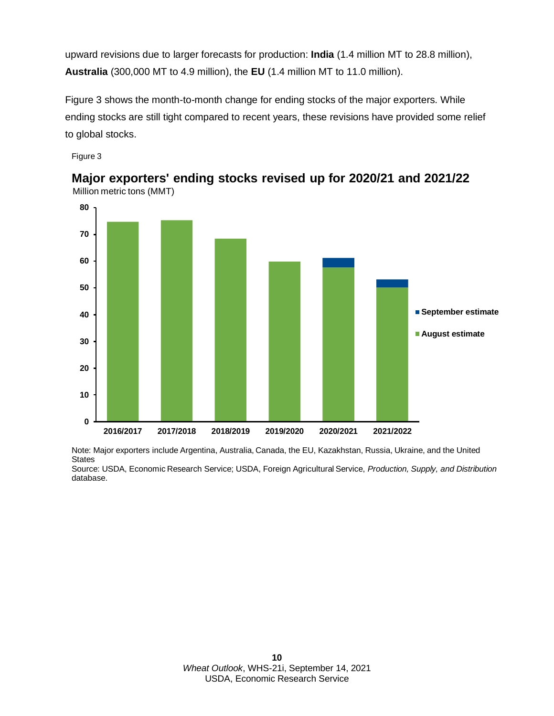upward revisions due to larger forecasts for production: **India** (1.4 million MT to 28.8 million), **Australia** (300,000 MT to 4.9 million), the **EU** (1.4 million MT to 11.0 million).

Figure 3 shows the month-to-month change for ending stocks of the major exporters. While ending stocks are still tight compared to recent years, these revisions have provided some relief to global stocks.

Figure 3



Million metric tons (MMT) **Major exporters' ending stocks revised up for 2020/21 and 2021/22**

Note: Major exporters include Argentina, Australia, Canada, the EU, Kazakhstan, Russia, Ukraine, and the United **States** 

Source: USDA, Economic Research Service; USDA, Foreign Agricultural Service, *Production, Supply, and Distribution*  database.